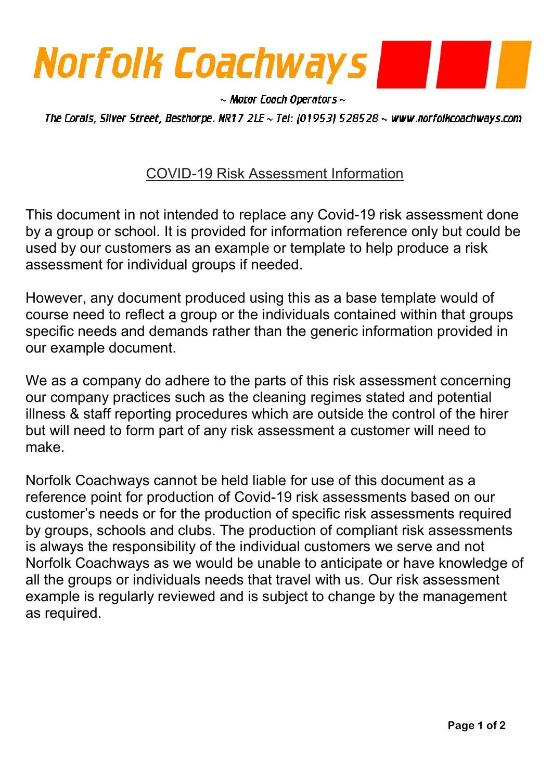

 $\sim$  Motor Coach Operators  $\sim$ 

The Corals, Silver Street, Besthorpe. NR17 2LE ~ Tel: (01953) 528528 ~ www.norfolkcoachways.com

## COVID-19 Risk Assessment Information

This document in not intended to replace any Covid-19 risk assessment done by a group or school. It is provided for information reference only but could be used by our customers as an example or template to help produce a risk assessment for individual groups if needed.

However, any document produced using this as a base template would of course need to reflect a group or the individuals contained within that groups specific needs and demands rather than the generic information provided in our example document.

We as a company do adhere to the parts of this risk assessment concerning our company practices such as the cleaning regimes stated and potential illness & staff reporting procedures which are outside the control of the hirer but will need to form part of any risk assessment a customer will need to make.

Norfolk Coachways cannot be held liable for use of this document as a reference point for production of Covid-19 risk assessments based on our customer's needs or for the production of specific risk assessments required by groups, schools and clubs. The production of compliant risk assessments is always the responsibility of the individual customers we serve and not Norfolk Coachways as we would be unable to anticipate or have knowledge of all the groups or individuals needs that travel with us. Our risk assessment example is regularly reviewed and is subject to change by the management as required.